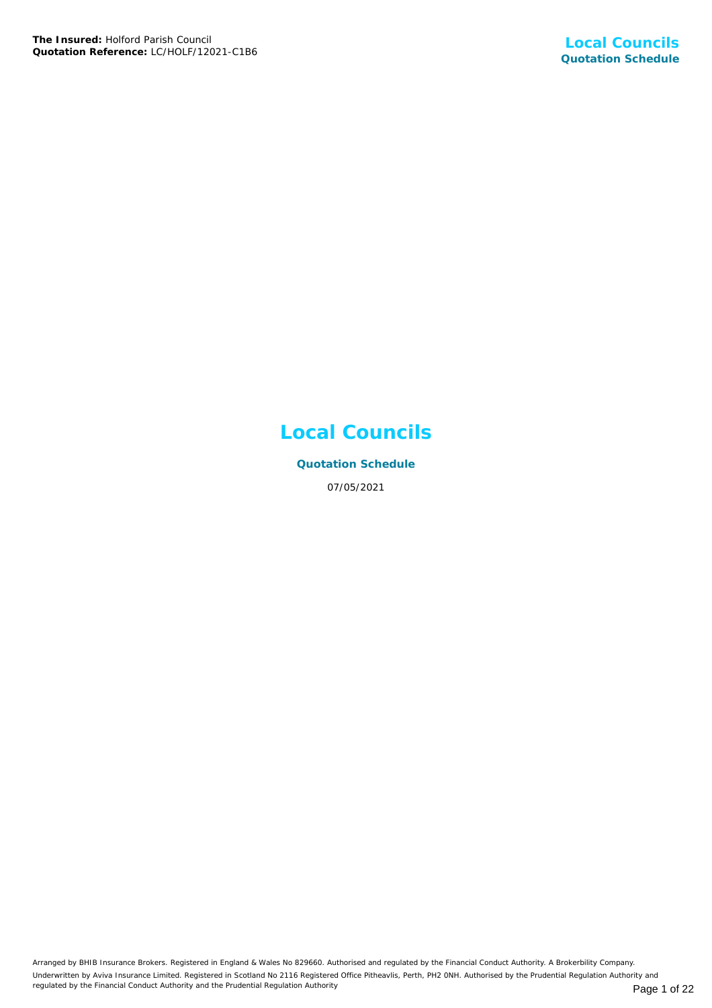## **Local Councils**

**Quotation Schedule** 07/05/2021

Arranged by BHIB Insurance Brokers. Registered in England & Wales No 829660. Authorised and regulated by the Financial Conduct Authority. A Brokerbility Company. Underwritten by Aviva Insurance Limited. Registered in Scotland No 2116 Registered Office Pitheavlis, Perth, PH2 0NH. Authorised by the Prudential Regulation Authority and regulated by the Financial Conduct Authority and the Prudential Regulation Authority **Page 1 of 22** Page 1 of 22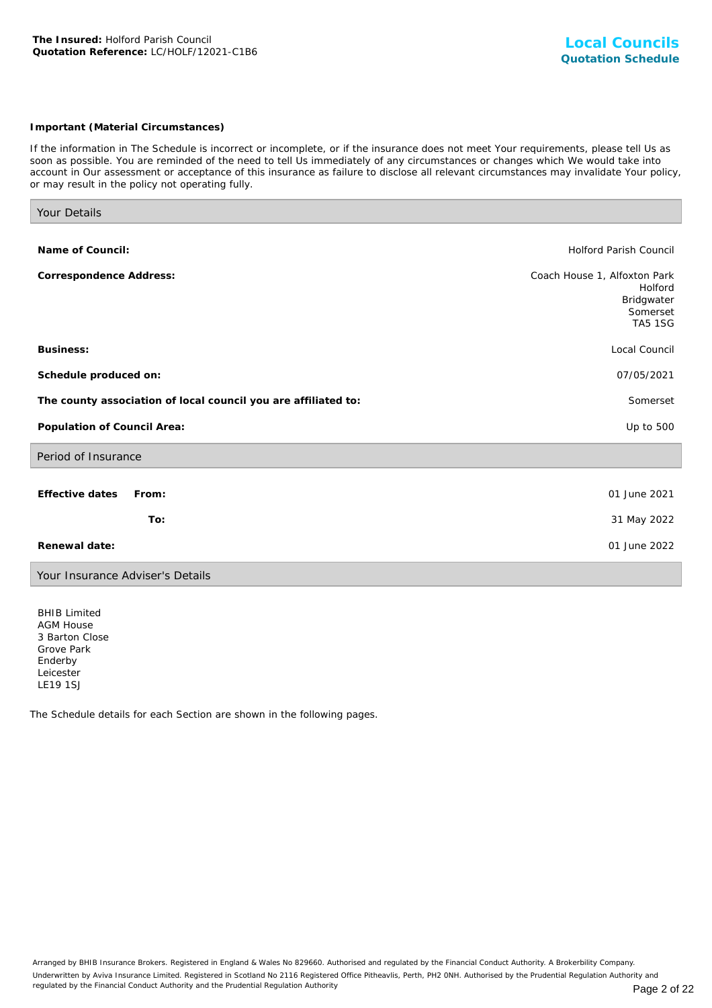#### *Important (Material Circumstances)*

*If the information in The Schedule is incorrect or incomplete, or if the insurance does not meet Your requirements, please tell Us as soon as possible. You are reminded of the need to tell Us immediately of any circumstances or changes which We would take into account in Our assessment or acceptance of this insurance as failure to disclose all relevant circumstances may invalidate Your policy, or may result in the policy not operating fully.*

| Your Details                                                   |                                                                                     |
|----------------------------------------------------------------|-------------------------------------------------------------------------------------|
|                                                                |                                                                                     |
| Name of Council:                                               | <b>Holford Parish Council</b>                                                       |
| Correspondence Address:                                        | Coach House 1, Alfoxton Park<br>Holford<br>Bridgwater<br>Somerset<br><b>TA5 1SG</b> |
| Business:                                                      | Local Council                                                                       |
| Schedule produced on:                                          | 07/05/2021                                                                          |
| The county association of local council you are affiliated to: | Somerset                                                                            |
| Population of Council Area:                                    | Up to 500                                                                           |
| Period of Insurance                                            |                                                                                     |
| Effective dates<br>From:<br>To:                                | 01 June 2021<br>31 May 2022                                                         |
|                                                                |                                                                                     |
| Renewal date:                                                  | 01 June 2022                                                                        |
| Your Insurance Adviser's Details                               |                                                                                     |

BHIB Limited AGM House 3 Barton Close Grove Park Enderby Leicester LE19 1SJ

The Schedule details for each Section are shown in the following pages.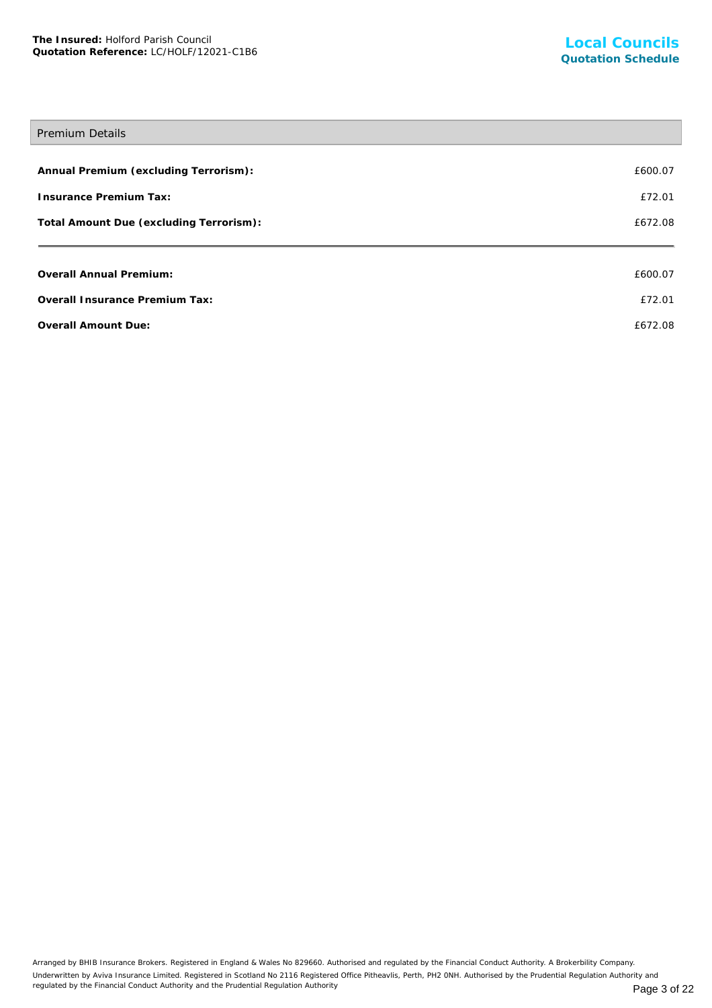# Premium Details **Annual Premium (excluding Terrorism):** £600.07 **Insurance Premium Tax:** £72.01 Total Amount Due (excluding Terrorism): **EXADS** 2008 2012 12:30 2014 2015 2021 203 **Overall Annual Premium:** £600.07 **Overall Insurance Premium Tax:** £72.01 **Overall Amount Due:**  $6672.08$

Arranged by BHIB Insurance Brokers. Registered in England & Wales No 829660. Authorised and regulated by the Financial Conduct Authority. A Brokerbility Company. Underwritten by Aviva Insurance Limited. Registered in Scotland No 2116 Registered Office Pitheavlis, Perth, PH2 0NH. Authorised by the Prudential Regulation Authority and regulated by the Financial Conduct Authority and the Prudential Regulation Authority **Page 3 of 22** Page 3 of 22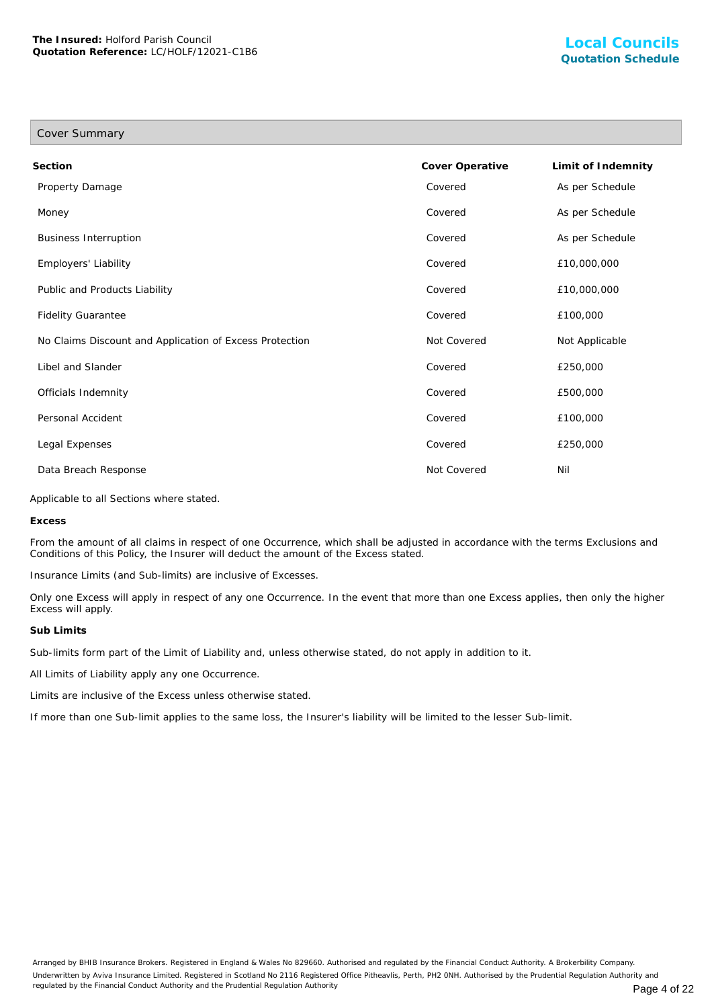| Cover Summary                                           |                 |                    |
|---------------------------------------------------------|-----------------|--------------------|
| Section                                                 | Cover Operative | Limit of Indemnity |
| Property Damage                                         | Covered         | As per Schedule    |
| Money                                                   | Covered         | As per Schedule    |
| <b>Business Interruption</b>                            | Covered         | As per Schedule    |
| Employers' Liability                                    | Covered         | £10,000,000        |
| Public and Products Liability                           | Covered         | £10,000,000        |
| <b>Fidelity Guarantee</b>                               | Covered         | £100,000           |
| No Claims Discount and Application of Excess Protection | Not Covered     | Not Applicable     |
| Libel and Slander                                       | Covered         | £250,000           |
| Officials Indemnity                                     | Covered         | £500,000           |
| Personal Accident                                       | Covered         | £100,000           |
| Legal Expenses                                          | Covered         | £250,000           |
| Data Breach Response                                    | Not Covered     | Nil                |

Applicable to all Sections where stated.

**Excess**

From the amount of all claims in respect of one Occurrence, which shall be adjusted in accordance with the terms Exclusions and Conditions of this Policy, the Insurer will deduct the amount of the Excess stated.

Insurance Limits (and Sub-limits) are inclusive of Excesses.

Only one Excess will apply in respect of any one Occurrence. In the event that more than one Excess applies, then only the higher Excess will apply.

#### **Sub Limits**

Sub-limits form part of the Limit of Liability and, unless otherwise stated, do not apply in addition to it.

All Limits of Liability apply any one Occurrence.

Limits are inclusive of the Excess unless otherwise stated.

If more than one Sub-limit applies to the same loss, the Insurer's liability will be limited to the lesser Sub-limit.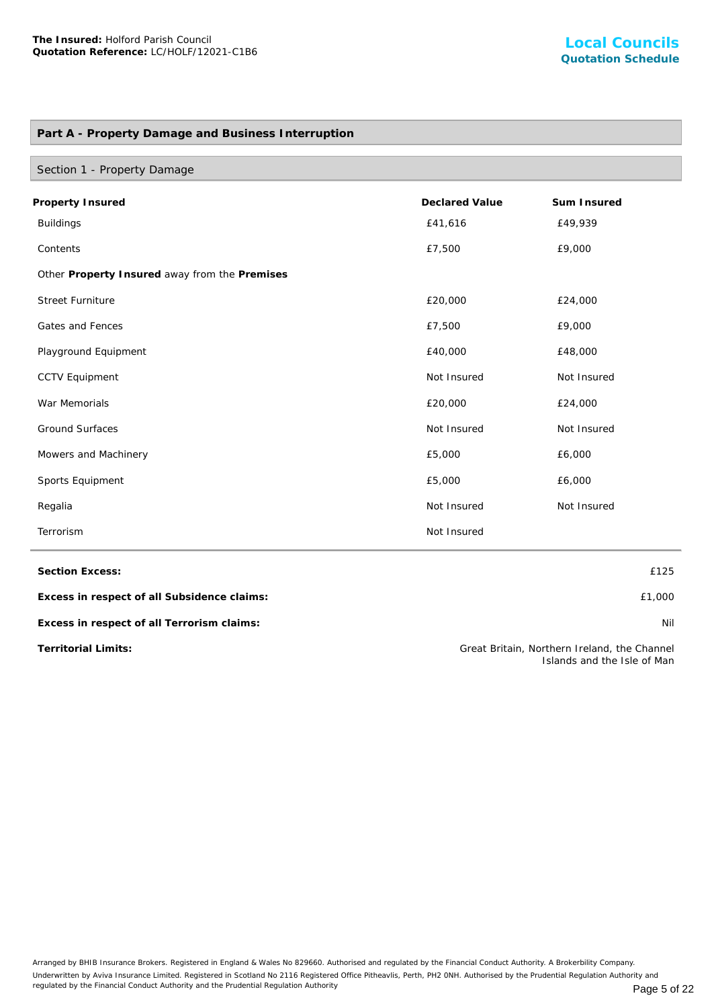## **Part A - Property Damage and Business Interruption**

| Section 1 - Property Damage                              |             |             |  |  |  |
|----------------------------------------------------------|-------------|-------------|--|--|--|
| <b>Declared Value</b><br>Sum Insured<br>Property Insured |             |             |  |  |  |
| <b>Buildings</b>                                         | £41,616     | £49,939     |  |  |  |
| Contents                                                 | £7,500      | £9,000      |  |  |  |
| Other Property Insured away from the Premises            |             |             |  |  |  |
| <b>Street Furniture</b>                                  | £20,000     | £24,000     |  |  |  |
| Gates and Fences                                         | £7,500      | £9,000      |  |  |  |
| Playground Equipment                                     | £40,000     | £48,000     |  |  |  |
| <b>CCTV Equipment</b>                                    | Not Insured | Not Insured |  |  |  |
| War Memorials                                            | £20,000     | £24,000     |  |  |  |
| <b>Ground Surfaces</b>                                   | Not Insured | Not Insured |  |  |  |
| Mowers and Machinery                                     | £5,000      | £6,000      |  |  |  |
| Sports Equipment                                         | £5,000      | £6,000      |  |  |  |
| Regalia                                                  | Not Insured | Not Insured |  |  |  |
| Terrorism                                                | Not Insured |             |  |  |  |

**Section Excess:** £125

**Excess in respect of all Subsidence claims:** £1,000

**Excess in respect of all Terrorism claims:** Nil

**Territorial Limits:** Great Britain, Northern Ireland, the Channel Islands and the Isle of Man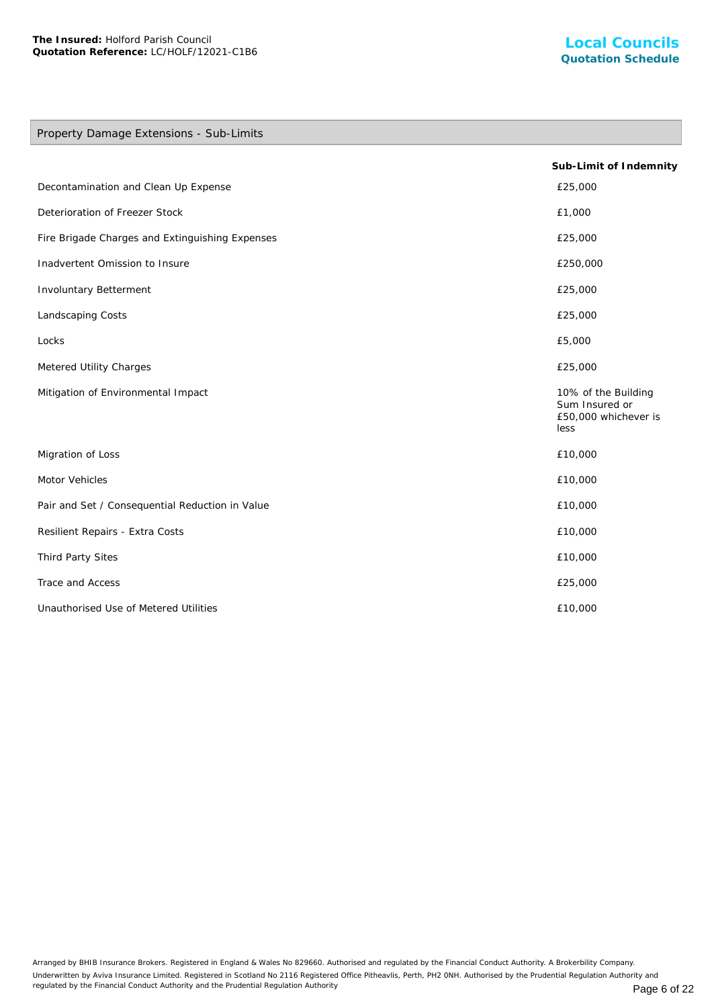## Property Damage Extensions - Sub-Limits

|                                                 | Sub-Limit of Indemnity                                                |
|-------------------------------------------------|-----------------------------------------------------------------------|
| Decontamination and Clean Up Expense            | £25,000                                                               |
| Deterioration of Freezer Stock                  | £1,000                                                                |
| Fire Brigade Charges and Extinguishing Expenses | £25,000                                                               |
| Inadvertent Omission to Insure                  | £250,000                                                              |
| Involuntary Betterment                          | £25,000                                                               |
| Landscaping Costs                               | £25,000                                                               |
| Locks                                           | £5,000                                                                |
| Metered Utility Charges                         | £25,000                                                               |
| Mitigation of Environmental Impact              | 10% of the Building<br>Sum Insured or<br>£50,000 whichever is<br>less |
| Migration of Loss                               | £10,000                                                               |
| Motor Vehicles                                  | £10,000                                                               |
| Pair and Set / Consequential Reduction in Value | £10,000                                                               |
| Resilient Repairs - Extra Costs                 | £10,000                                                               |
| Third Party Sites                               | £10,000                                                               |
| Trace and Access                                | £25,000                                                               |
| Unauthorised Use of Metered Utilities           | £10,000                                                               |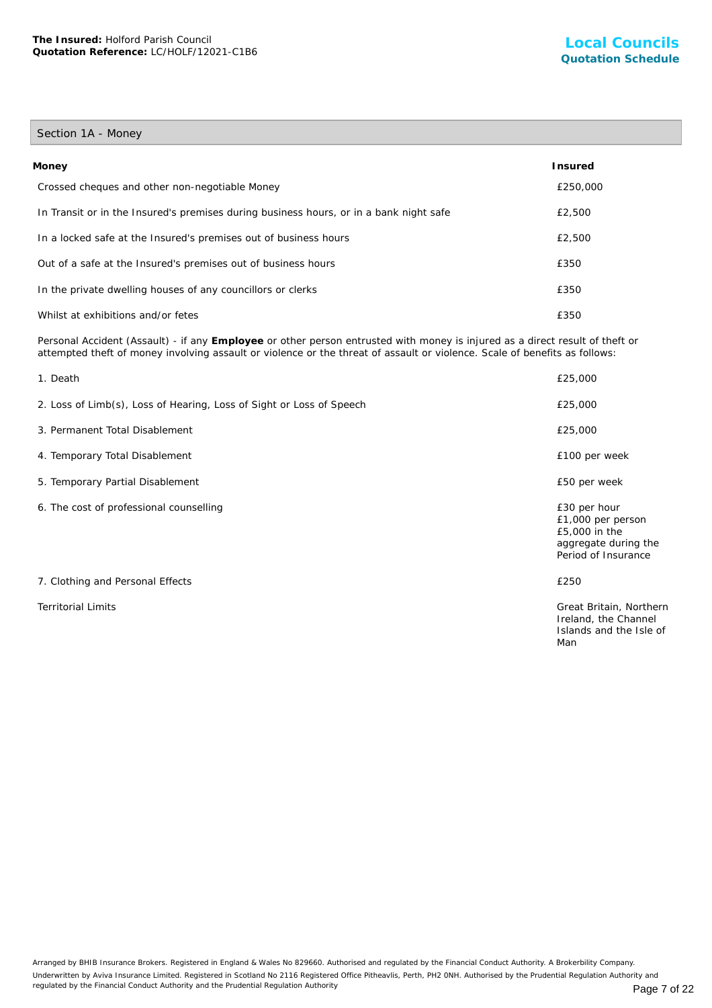## Section 1A - Money

| Money                                                                                  | l nsured |
|----------------------------------------------------------------------------------------|----------|
| Crossed cheques and other non-negotiable Money                                         | £250,000 |
| In Transit or in the Insured's premises during business hours, or in a bank night safe | £2,500   |
| In a locked safe at the Insured's premises out of business hours                       | £2,500   |
| Out of a safe at the Insured's premises out of business hours                          | £350     |
| In the private dwelling houses of any councillors or clerks                            | £350     |
| Whilst at exhibitions and/or fetes                                                     | £350     |

Personal Accident (Assault) - if any **Employee** or other person entrusted with money is injured as a direct result of theft or attempted theft of money involving assault or violence or the threat of assault or violence. Scale of benefits as follows:

| 1. Death                                                             | £25,000                                                                                           |
|----------------------------------------------------------------------|---------------------------------------------------------------------------------------------------|
| 2. Loss of Limb(s), Loss of Hearing, Loss of Sight or Loss of Speech | £25,000                                                                                           |
| 3. Permanent Total Disablement                                       | £25,000                                                                                           |
| 4. Temporary Total Disablement                                       | £100 per week                                                                                     |
| 5. Temporary Partial Disablement                                     | £50 per week                                                                                      |
| 6. The cost of professional counselling                              | £30 per hour<br>£1,000 per person<br>£5,000 in the<br>aggregate during the<br>Period of Insurance |
| 7. Clothing and Personal Effects                                     | £250                                                                                              |
| <b>Territorial Limits</b>                                            | Great Britain, Northern<br>Ireland, the Channel<br>Islands and the Isle of<br>Man                 |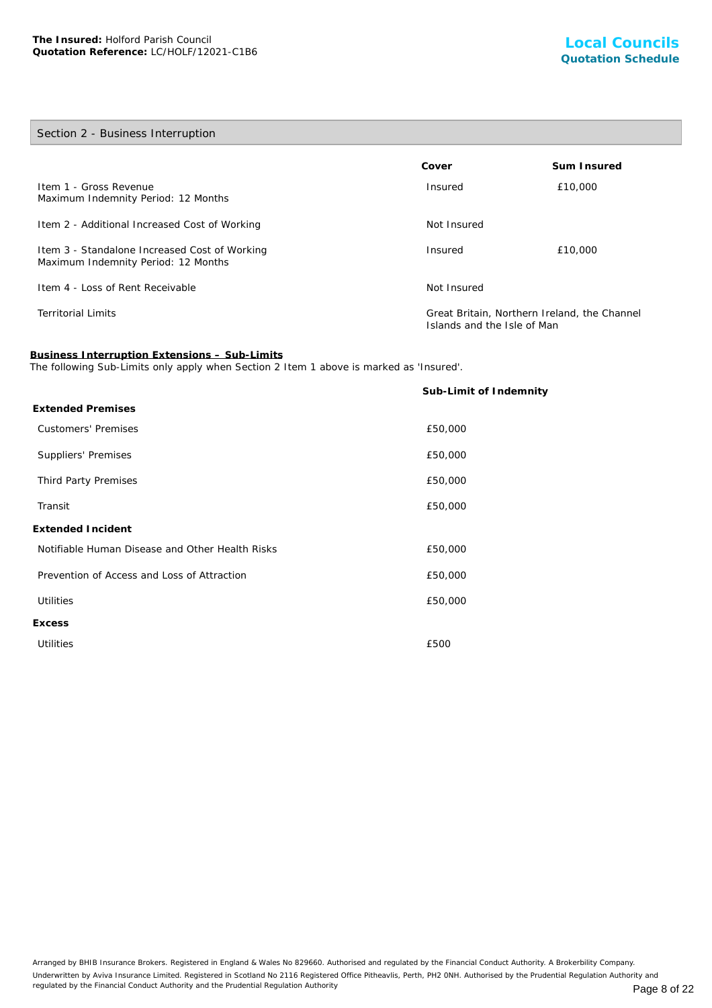## Section 2 - Business Interruption

|                                                                                      | Cover                                                                       | Sum Insured |
|--------------------------------------------------------------------------------------|-----------------------------------------------------------------------------|-------------|
| Item 1 - Gross Revenue<br>Maximum Indemnity Period: 12 Months                        | Insured                                                                     | £10,000     |
| Item 2 - Additional Increased Cost of Working                                        | Not Insured                                                                 |             |
| Item 3 - Standalone Increased Cost of Working<br>Maximum Indemnity Period: 12 Months | Insured                                                                     | £10,000     |
| Item 4 - Loss of Rent Receivable                                                     | Not Insured                                                                 |             |
| <b>Territorial Limits</b>                                                            | Great Britain, Northern Ireland, the Channel<br>Islands and the Isle of Man |             |

**Business Interruption Extensions – Sub-Limits**

The following Sub-Limits only apply when Section 2 Item 1 above is marked as 'Insured'.

|                                                 | Sub-Limit of Indemnity |
|-------------------------------------------------|------------------------|
| <b>Extended Premises</b>                        |                        |
| <b>Customers' Premises</b>                      | £50,000                |
| Suppliers' Premises                             | £50,000                |
| Third Party Premises                            | £50,000                |
| Transit                                         | £50,000                |
| Extended Incident                               |                        |
| Notifiable Human Disease and Other Health Risks | £50,000                |
| Prevention of Access and Loss of Attraction     | £50,000                |
| <b>Utilities</b>                                | £50,000                |
| <b>Excess</b>                                   |                        |
| <b>Utilities</b>                                | £500                   |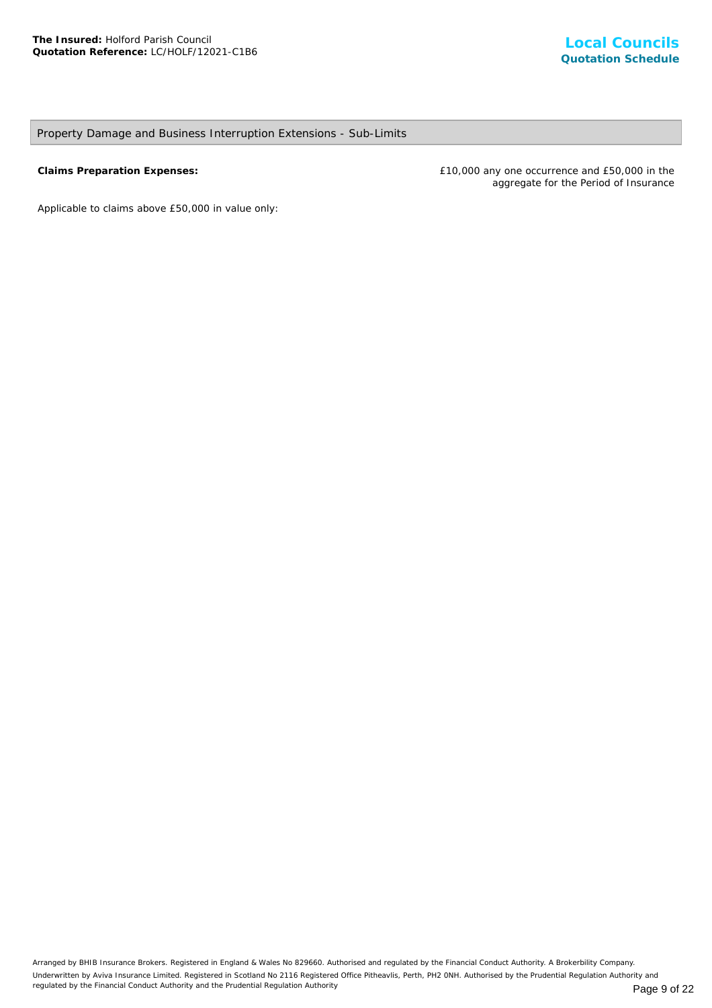## Property Damage and Business Interruption Extensions - Sub-Limits

**Claims Preparation Expenses:** £10,000 any one occurrence and £50,000 in the aggregate for the Period of Insurance

*Applicable to claims above £50,000 in value only*: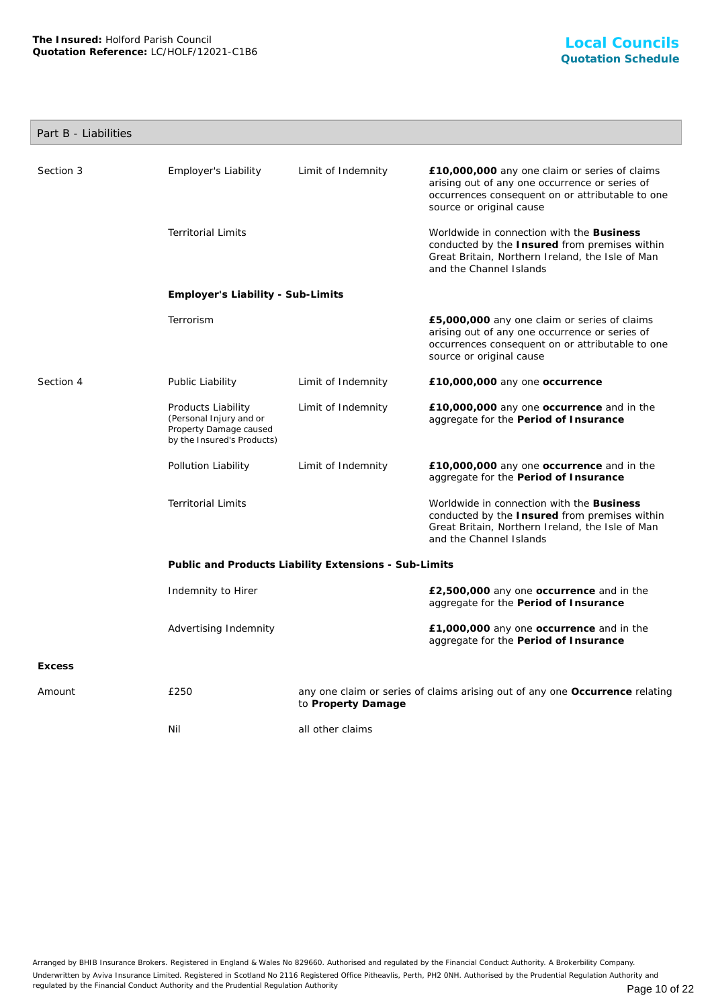## Part B - Liabilities

| Section 3     | Employer's Liability                                                                                  | Limit of Indemnity                                    | £10,000,000 any one claim or series of claims<br>arising out of any one occurrence or series of<br>occurrences consequent on or attributable to one<br>source or original cause |
|---------------|-------------------------------------------------------------------------------------------------------|-------------------------------------------------------|---------------------------------------------------------------------------------------------------------------------------------------------------------------------------------|
|               | <b>Territorial Limits</b>                                                                             |                                                       | Worldwide in connection with the Business<br>conducted by the Insured from premises within<br>Great Britain, Northern Ireland, the Isle of Man<br>and the Channel Islands       |
|               | Employer's Liability - Sub-Limits                                                                     |                                                       |                                                                                                                                                                                 |
|               | Terrorism                                                                                             |                                                       | £5,000,000 any one claim or series of claims<br>arising out of any one occurrence or series of<br>occurrences consequent on or attributable to one<br>source or original cause  |
| Section 4     | Public Liability                                                                                      | Limit of Indemnity                                    | £10,000,000 any one occurrence                                                                                                                                                  |
|               | Products Liability<br>(Personal Injury and or<br>Property Damage caused<br>by the Insured's Products) | Limit of Indemnity                                    | £10,000,000 any one occurrence and in the<br>aggregate for the Period of Insurance                                                                                              |
|               | Pollution Liability                                                                                   | Limit of Indemnity                                    | £10,000,000 any one occurrence and in the<br>aggregate for the Period of Insurance                                                                                              |
|               | <b>Territorial Limits</b>                                                                             |                                                       | Worldwide in connection with the Business<br>conducted by the Insured from premises within<br>Great Britain, Northern Ireland, the Isle of Man<br>and the Channel Islands       |
|               |                                                                                                       | Public and Products Liability Extensions - Sub-Limits |                                                                                                                                                                                 |
|               | Indemnity to Hirer                                                                                    |                                                       | £2,500,000 any one occurrence and in the<br>aggregate for the Period of Insurance                                                                                               |
|               | Advertising Indemnity                                                                                 |                                                       | £1,000,000 any one occurrence and in the<br>aggregate for the Period of Insurance                                                                                               |
| <b>Excess</b> |                                                                                                       |                                                       |                                                                                                                                                                                 |
| Amount        | £250                                                                                                  | to Property Damage                                    | any one claim or series of claims arising out of any one Occurrence relating                                                                                                    |
|               | Nil                                                                                                   | all other claims                                      |                                                                                                                                                                                 |
|               |                                                                                                       |                                                       |                                                                                                                                                                                 |

Arranged by BHIB Insurance Brokers. Registered in England & Wales No 829660. Authorised and regulated by the Financial Conduct Authority. A Brokerbility Company. Underwritten by Aviva Insurance Limited. Registered in Scotland No 2116 Registered Office Pitheavlis, Perth, PH2 0NH. Authorised by the Prudential Regulation Authority and regulated by the Financial Conduct Authority and the Prudential Regulation Authority **Page 10 of 22** Page 10 of 22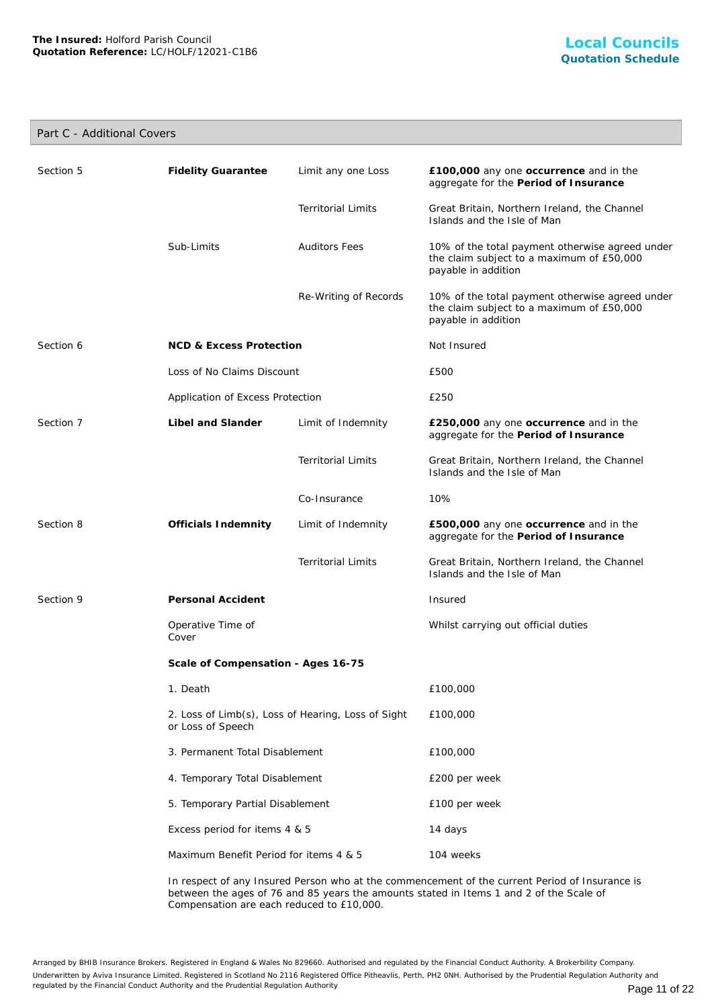## Part C - Additional Covers

| Section 5                     | <b>Fidelity Guarantee</b>                                               | Limit any one Loss        | £100,000 any one occurrence and in the<br>aggregate for the Period of Insurance                                     |
|-------------------------------|-------------------------------------------------------------------------|---------------------------|---------------------------------------------------------------------------------------------------------------------|
|                               |                                                                         | <b>Territorial Limits</b> | Great Britain, Northern Ireland, the Channel<br>Islands and the Isle of Man                                         |
|                               | Sub-Limits                                                              | <b>Auditors Fees</b>      | 10% of the total payment otherwise agreed under<br>the claim subject to a maximum of £50,000<br>payable in addition |
|                               |                                                                         | Re-Writing of Records     | 10% of the total payment otherwise agreed under<br>the claim subject to a maximum of £50,000<br>payable in addition |
| Section 6                     | <b>NCD &amp; Excess Protection</b>                                      |                           | Not Insured                                                                                                         |
|                               | Loss of No Claims Discount                                              |                           | £500                                                                                                                |
|                               | Application of Excess Protection                                        |                           | £250                                                                                                                |
| Section 7                     | Libel and Slander                                                       | Limit of Indemnity        | £250,000 any one occurrence and in the<br>aggregate for the Period of Insurance                                     |
|                               |                                                                         | <b>Territorial Limits</b> | Great Britain, Northern Ireland, the Channel<br>Islands and the Isle of Man                                         |
|                               |                                                                         | Co-Insurance              | 10%                                                                                                                 |
| Section 8                     | Officials Indemnity                                                     | Limit of Indemnity        | £500,000 any one occurrence and in the<br>aggregate for the Period of Insurance                                     |
|                               |                                                                         | <b>Territorial Limits</b> | Great Britain, Northern Ireland, the Channel<br>Islands and the Isle of Man                                         |
| Section 9                     | Personal Accident                                                       |                           | Insured                                                                                                             |
|                               | Operative Time of<br>Cover                                              |                           | Whilst carrying out official duties                                                                                 |
|                               | Scale of Compensation - Ages 16-75                                      |                           |                                                                                                                     |
|                               | 1. Death                                                                |                           | £100,000                                                                                                            |
|                               | 2. Loss of Limb(s), Loss of Hearing, Loss of Sight<br>or Loss of Speech |                           | £100,000                                                                                                            |
|                               | 3. Permanent Total Disablement                                          |                           | £100,000                                                                                                            |
|                               | 4. Temporary Total Disablement                                          |                           | £200 per week                                                                                                       |
|                               | 5. Temporary Partial Disablement                                        |                           | £100 per week                                                                                                       |
| Excess period for items 4 & 5 |                                                                         | 14 days                   |                                                                                                                     |
|                               | Maximum Benefit Period for items 4 & 5                                  |                           | 104 weeks                                                                                                           |
|                               |                                                                         |                           |                                                                                                                     |

In respect of any Insured Person who at the commencement of the current Period of Insurance is between the ages of 76 and 85 years the amounts stated in Items 1 and 2 of the Scale of Compensation are each reduced to £10,000.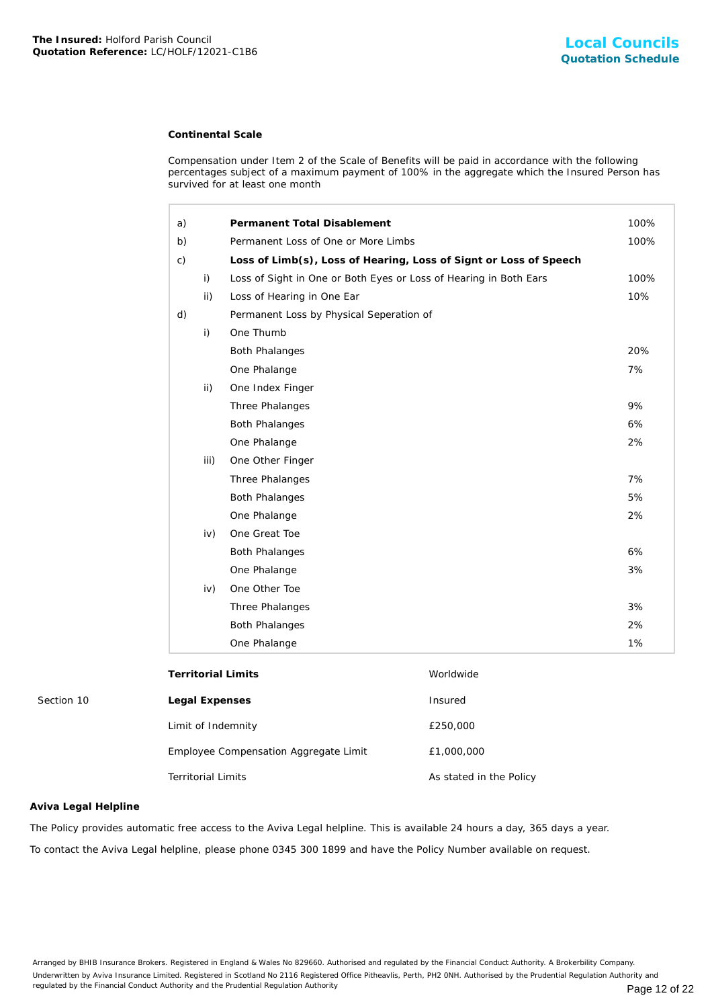#### **Continental Scale**

| The Insured: Holford Parish Council<br>Quotation Reference: LC/HOLF/12021-C1B6 |                           |      |                                                                                                                                                                                                                                       | Local Council<br><b>Quotation Schedu</b>                                                                         |      |
|--------------------------------------------------------------------------------|---------------------------|------|---------------------------------------------------------------------------------------------------------------------------------------------------------------------------------------------------------------------------------------|------------------------------------------------------------------------------------------------------------------|------|
|                                                                                |                           |      | <b>Continental Scale</b>                                                                                                                                                                                                              |                                                                                                                  |      |
|                                                                                |                           |      | Compensation under Item 2 of the Scale of Benefits will be paid in accordance with the following<br>percentages subject of a maximum payment of 100% in the aggregate which the Insured Person has<br>survived for at least one month |                                                                                                                  |      |
|                                                                                | a)                        |      | Permanent Total Disablement                                                                                                                                                                                                           |                                                                                                                  | 100% |
|                                                                                | b)                        |      | Permanent Loss of One or More Limbs                                                                                                                                                                                                   |                                                                                                                  | 100% |
|                                                                                | c)                        |      |                                                                                                                                                                                                                                       | Loss of Limb(s), Loss of Hearing, Loss of Signt or Loss of Speech                                                |      |
|                                                                                |                           | i)   | Loss of Sight in One or Both Eyes or Loss of Hearing in Both Ears                                                                                                                                                                     |                                                                                                                  | 100% |
|                                                                                |                           | ii)  | Loss of Hearing in One Ear                                                                                                                                                                                                            |                                                                                                                  | 10%  |
|                                                                                | d)                        |      | Permanent Loss by Physical Seperation of                                                                                                                                                                                              |                                                                                                                  |      |
|                                                                                |                           | i)   | One Thumb                                                                                                                                                                                                                             |                                                                                                                  |      |
|                                                                                |                           |      | <b>Both Phalanges</b>                                                                                                                                                                                                                 |                                                                                                                  | 20%  |
|                                                                                |                           |      | One Phalange                                                                                                                                                                                                                          |                                                                                                                  | 7%   |
|                                                                                |                           | ii)  | One Index Finger                                                                                                                                                                                                                      |                                                                                                                  |      |
|                                                                                |                           |      | Three Phalanges                                                                                                                                                                                                                       |                                                                                                                  | 9%   |
|                                                                                |                           |      | <b>Both Phalanges</b>                                                                                                                                                                                                                 |                                                                                                                  | 6%   |
|                                                                                |                           |      | One Phalange                                                                                                                                                                                                                          |                                                                                                                  | 2%   |
|                                                                                |                           | iii) | One Other Finger                                                                                                                                                                                                                      |                                                                                                                  |      |
|                                                                                |                           |      | Three Phalanges                                                                                                                                                                                                                       |                                                                                                                  | 7%   |
|                                                                                |                           |      | <b>Both Phalanges</b>                                                                                                                                                                                                                 |                                                                                                                  | 5%   |
|                                                                                |                           |      | One Phalange                                                                                                                                                                                                                          |                                                                                                                  | 2%   |
|                                                                                |                           | iv)  | One Great Toe                                                                                                                                                                                                                         |                                                                                                                  |      |
|                                                                                |                           |      | <b>Both Phalanges</b>                                                                                                                                                                                                                 |                                                                                                                  | 6%   |
|                                                                                |                           |      | One Phalange                                                                                                                                                                                                                          |                                                                                                                  | 3%   |
|                                                                                |                           | iv)  | One Other Toe                                                                                                                                                                                                                         |                                                                                                                  |      |
|                                                                                |                           |      | Three Phalanges                                                                                                                                                                                                                       |                                                                                                                  | 3%   |
|                                                                                |                           |      | <b>Both Phalanges</b>                                                                                                                                                                                                                 |                                                                                                                  | 2%   |
|                                                                                |                           |      | One Phalange                                                                                                                                                                                                                          |                                                                                                                  | 1%   |
|                                                                                |                           |      | <b>Territorial Limits</b>                                                                                                                                                                                                             | Worldwide                                                                                                        |      |
| Section 10                                                                     | Legal Expenses            |      |                                                                                                                                                                                                                                       | Insured                                                                                                          |      |
|                                                                                |                           |      | Limit of Indemnity                                                                                                                                                                                                                    | £250,000                                                                                                         |      |
|                                                                                |                           |      | Employee Compensation Aggregate Limit                                                                                                                                                                                                 | £1,000,000                                                                                                       |      |
|                                                                                | <b>Territorial Limits</b> |      |                                                                                                                                                                                                                                       | As stated in the Policy                                                                                          |      |
| Aviva Legal Helpline                                                           |                           |      |                                                                                                                                                                                                                                       |                                                                                                                  |      |
|                                                                                |                           |      | The Policy provides automatic free access to the Aviva Legal helpline. This is available 24 hours a day, 365 days a year.                                                                                                             |                                                                                                                  |      |
|                                                                                |                           |      |                                                                                                                                                                                                                                       | To contact the Aviva Legal helpline, please phone 0345 300 1899 and have the Policy Number available on request. |      |

| Legal Expenses                        | Insured                 |
|---------------------------------------|-------------------------|
| Limit of Indemnity                    | £250,000                |
| Employee Compensation Aggregate Limit | £1,000,000              |
| <b>Territorial Limits</b>             | As stated in the Policy |

#### **Aviva Legal Helpline**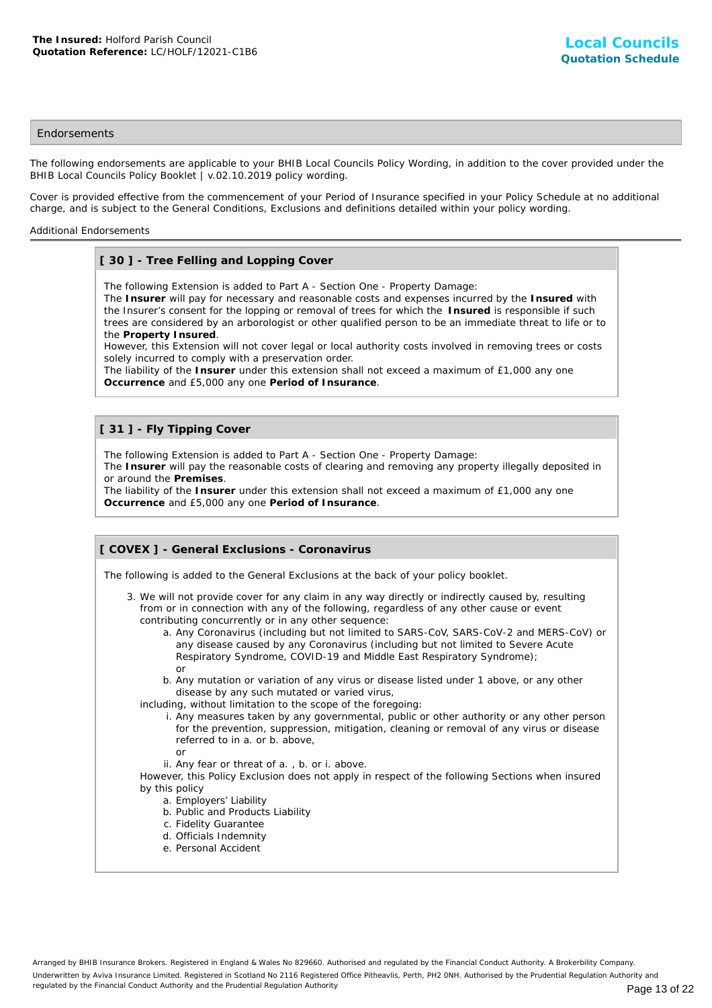#### **Endorsements**

The following endorsements are applicable to your BHIB Local Councils Policy Wording, in addition to the cover provided under the BHIB Local Councils Policy Booklet | v.02.10.2019 policy wording.

Cover is provided effective from the commencement of your Period of Insurance specified in your Policy Schedule at no additional charge, and is subject to the General Conditions, Exclusions and definitions detailed within your policy wording.

#### Additional Endorsements

## **[ 30 ] - Tree Felling and Lopping Cover**

The following Extension is added to Part A - Section One - Property Damage:

The **Insurer** will pay for necessary and reasonable costs and expenses incurred by the **Insured** with the Insurer's consent for the lopping or removal of trees for which the **Insured** is responsible if such trees are considered by an arborologist or other qualified person to be an immediate threat to life or to the **Property Insured**.

However, this Extension will not cover legal or local authority costs involved in removing trees or costs solely incurred to comply with a preservation order.

The liability of the **Insurer** under this extension shall not exceed a maximum of £1,000 any one **Occurrence** and £5,000 any one **Period of Insurance**.

## **[ 31 ] - Fly Tipping Cover**

The following Extension is added to Part A - Section One - Property Damage:

The **Insurer** will pay the reasonable costs of clearing and removing any property illegally deposited in or around the **Premises**.

The liability of the **Insurer** under this extension shall not exceed a maximum of £1,000 any one **Occurrence** and £5,000 any one **Period of Insurance**.

## **[ COVEX ] - General Exclusions - Coronavirus**

The following is added to the General Exclusions at the back of your policy booklet.

- 3. We will not provide cover for any claim in any way directly or indirectly caused by, resulting from or in connection with any of the following, regardless of any other cause or event contributing concurrently or in any other sequence:
	- a. Any Coronavirus (including but not limited to SARS-CoV, SARS-CoV-2 and MERS-CoV) or any disease caused by any Coronavirus (including but not limited to Severe Acute Respiratory Syndrome, COVID-19 and Middle East Respiratory Syndrome); or
	- b. Any mutation or variation of any virus or disease listed under 1 above, or any other disease by any such mutated or varied virus,
	- including, without limitation to the scope of the foregoing:
		- i. Any measures taken by any governmental, public or other authority or any other person for the prevention, suppression, mitigation, cleaning or removal of any virus or disease referred to in a. or b. above,
		- or
		- ii. Any fear or threat of a. , b. or i. above.

However, this Policy Exclusion does not apply in respect of the following Sections when insured by this policy

- a. Employers' Liability
- b. Public and Products Liability
- c. Fidelity Guarantee
- d. Officials Indemnity
- e. Personal Accident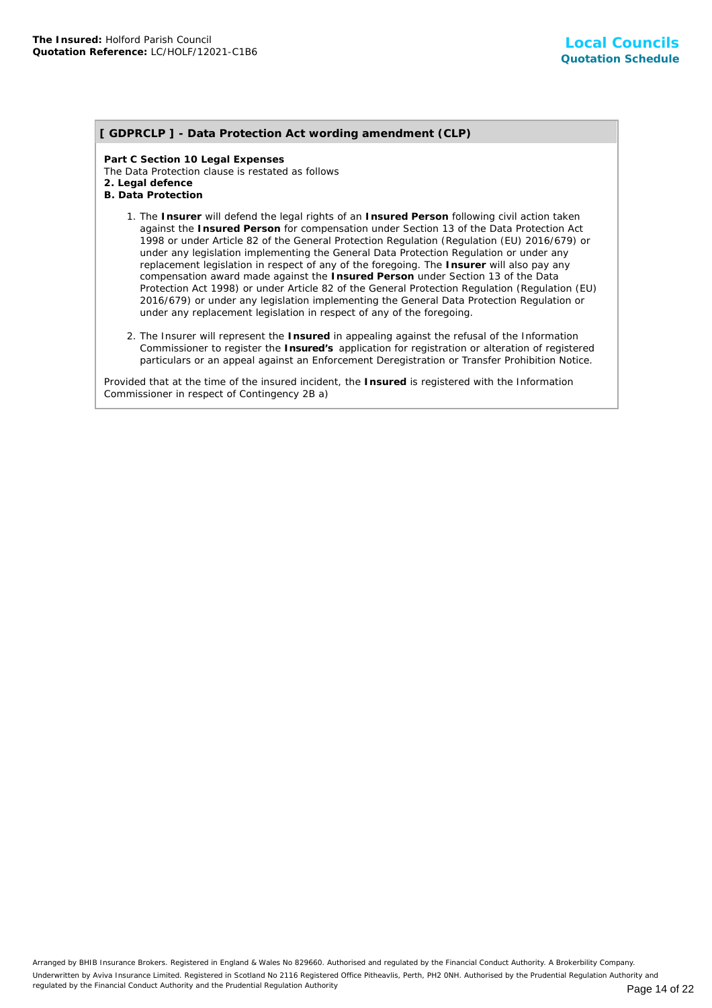## **[ GDPRCLP ] - Data Protection Act wording amendment (CLP)**

**Part C Section 10 Legal Expenses** The Data Protection clause is restated as follows **2. Legal defence B. Data Protection**

- 1. The Insurer will defend the legal rights of an Insured Person following civil action taken against the **Insured Person** for compensation under Section 13 of the Data Protection Act 1998 or under Article 82 of the General Protection Regulation (Regulation (EU) 2016/679) or under any legislation implementing the General Data Protection Regulation or under any replacement legislation in respect of any of the foregoing. The **Insurer** will also pay any compensation award made against the **Insured Person** under Section 13 of the Data Protection Act 1998) or under Article 82 of the General Protection Regulation (Regulation (EU) 2016/679) or under any legislation implementing the General Data Protection Regulation or under any replacement legislation in respect of any of the foregoing.
- 2. The Insurer will represent the Insured in appealing against the refusal of the Information Commissioner to register the **Insured's** application for registration or alteration of registered particulars or an appeal against an Enforcement Deregistration or Transfer Prohibition Notice.

Provided that at the time of the insured incident, the **Insured** is registered with the Information Commissioner in respect of Contingency 2B a)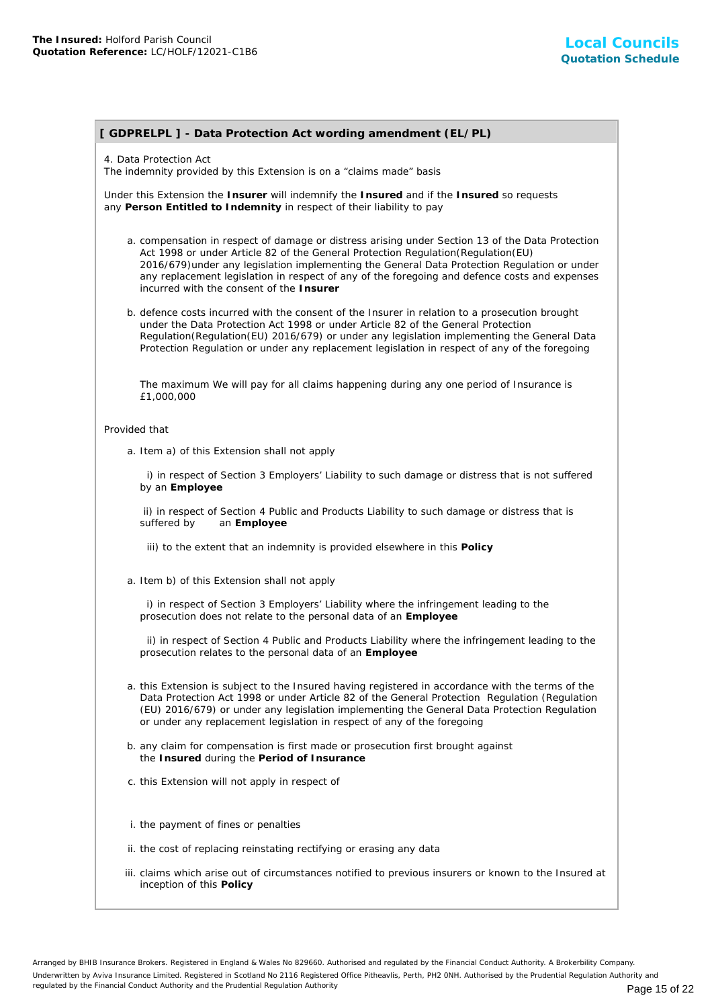## **[ GDPRELPL ] - Data Protection Act wording amendment (EL/PL)**

#### 4. Data Protection Act

The indemnity provided by this Extension is on a "claims made" basis

Under this Extension the **Insurer** will indemnify the **Insured** and if the **Insured** so requests any **Person Entitled to Indemnity** in respect of their liability to pay

- a. compensation in respect of damage or distress arising under Section 13 of the Data Protection Act 1998 or under Article 82 of the General Protection Regulation(Regulation(EU) 2016/679)under any legislation implementing the General Data Protection Regulation or under any replacement legislation in respect of any of the foregoing and defence costs and expenses incurred with the consent of the **Insurer**
- b. defence costs incurred with the consent of the Insurer in relation to a prosecution brought under the Data Protection Act 1998 or under Article 82 of the General Protection Regulation(Regulation(EU) 2016/679) or under any legislation implementing the General Data Protection Regulation or under any replacement legislation in respect of any of the foregoing

The maximum We will pay for all claims happening during any one period of Insurance is £1,000,000

#### Provided that

a. Item a) of this Extension shall not apply

 i) in respect of Section 3 Employers' Liability to such damage or distress that is not suffered by an **Employee**

 ii) in respect of Section 4 Public and Products Liability to such damage or distress that is suffered by an **Employee**

iii) to the extent that an indemnity is provided elsewhere in this **Policy**

a. Item b) of this Extension shall not apply

 i) in respect of Section 3 Employers' Liability where the infringement leading to the prosecution does not relate to the personal data of an **Employee**

 ii) in respect of Section 4 Public and Products Liability where the infringement leading to the prosecution relates to the personal data of an **Employee**

- a. this Extension is subject to the Insured having registered in accordance with the terms of the Data Protection Act 1998 or under Article 82 of the General Protection Regulation (Regulation (EU) 2016/679) or under any legislation implementing the General Data Protection Regulation or under any replacement legislation in respect of any of the foregoing
- b. any claim for compensation is first made or prosecution first brought against the **Insured** during the **Period of Insurance**
- c. this Extension will not apply in respect of
- i. the payment of fines or penalties
- ii. the cost of replacing reinstating rectifying or erasing any data
- iii. claims which arise out of circumstances notified to previous insurers or known to the Insured at inception of this **Policy**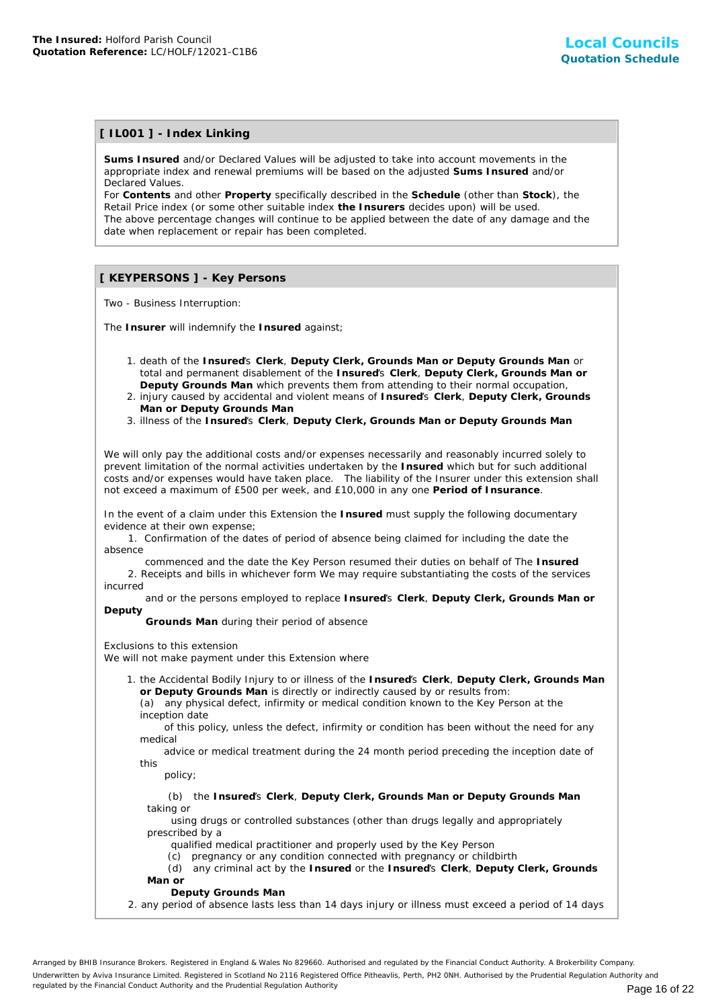## **[ IL001 ] - Index Linking**

**Sums Insured** and/or Declared Values will be adjusted to take into account movements in the appropriate index and renewal premiums will be based on the adjusted **Sums Insured** and/or Declared Values.

For **Contents** and other **Property** specifically described in the **Schedule** (other than **Stock**), the Retail Price index (or some other suitable index **the Insurers** decides upon) will be used. The above percentage changes will continue to be applied between the date of any damage and the date when replacement or repair has been completed.

## **[ KEYPERSONS ] - Key Persons**

Two - Business Interruption:

The **Insurer** will indemnify the **Insured** against;

- 1. death of the Insured's Clerk, Deputy Clerk, Grounds Man or Deputy Grounds Man or total and permanent disablement of the **Insured**'s **Clerk**, **Deputy Clerk, Grounds Man or Deputy Grounds Man** which prevents them from attending to their normal occupation,
- 2. injury caused by accidental and violent means of Insured's Clerk, Deputy Clerk, Grounds **Man or Deputy Grounds Man**
- 3. illness of the **Insured**'s **Clerk**, **Deputy Clerk, Grounds Man or Deputy Grounds Man**

We will only pay the additional costs and/or expenses necessarily and reasonably incurred solely to prevent limitation of the normal activities undertaken by the **Insured** which but for such additional costs and/or expenses would have taken place. The liability of the Insurer under this extension shall not exceed a maximum of £500 per week, and £10,000 in any one **Period of Insurance**.

In the event of a claim under this Extension the **Insured** must supply the following documentary evidence at their own expense;

 1. Confirmation of the dates of period of absence being claimed for including the date the absence

 commenced and the date the Key Person resumed their duties on behalf of The **Insured** 2. Receipts and bills in whichever form We may require substantiating the costs of the services

incurred and or the persons employed to replace **Insured**'s **Clerk**, **Deputy Clerk, Grounds Man or Deputy**

 **Grounds Man** during their period of absence

#### Exclusions to this extension

We will not make payment under this Extension where

- 1. the Accidental Bodily Injury to or illness of the Insured's Clerk, Deputy Clerk, Grounds Man **or Deputy Grounds Man** is directly or indirectly caused by or results from:
	- (a) any physical defect, infirmity or medical condition known to the Key Person at the inception date

 of this policy, unless the defect, infirmity or condition has been without the need for any medical

 advice or medical treatment during the 24 month period preceding the inception date of this

policy;

 (b) the **Insured**'s **Clerk**, **Deputy Clerk, Grounds Man or Deputy Grounds Man** taking or

 using drugs or controlled substances (other than drugs legally and appropriately prescribed by a

qualified medical practitioner and properly used by the Key Person

(c) pregnancy or any condition connected with pregnancy or childbirth

 (d) any criminal act by the **Insured** or the **Insured**'s **Clerk**, **Deputy Clerk, Grounds Man or**

 **Deputy Grounds Man**

2. any period of absence lasts less than 14 days injury or illness must exceed a period of 14 days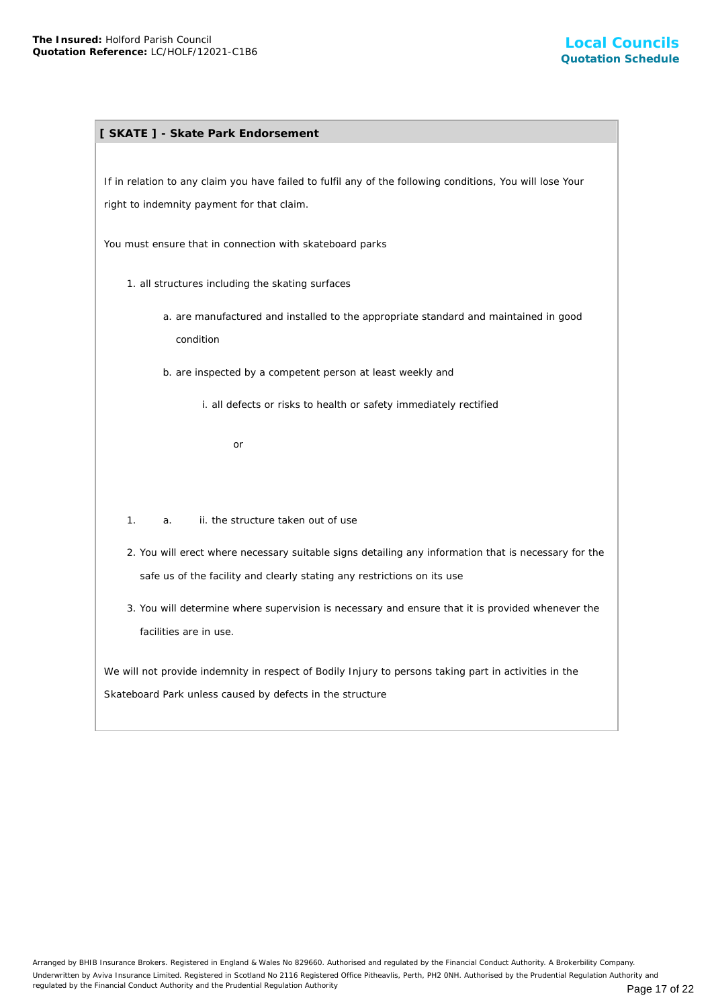## **[ SKATE ] - Skate Park Endorsement**

If in relation to any claim you have failed to fulfil any of the following conditions, You will lose Your right to indemnity payment for that claim.

You must ensure that in connection with skateboard parks

- 1. all structures including the skating surfaces
	- a. are manufactured and installed to the appropriate standard and maintained in good condition
	- b. are inspected by a competent person at least weekly and

i. all defects or risks to health or safety immediately rectified

or

- 1. a. ii. the structure taken out of use
- 2. You will erect where necessary suitable signs detailing any information that is necessary for the safe us of the facility and clearly stating any restrictions on its use
- 3. You will determine where supervision is necessary and ensure that it is provided whenever the facilities are in use.

We will not provide indemnity in respect of Bodily Injury to persons taking part in activities in the Skateboard Park unless caused by defects in the structure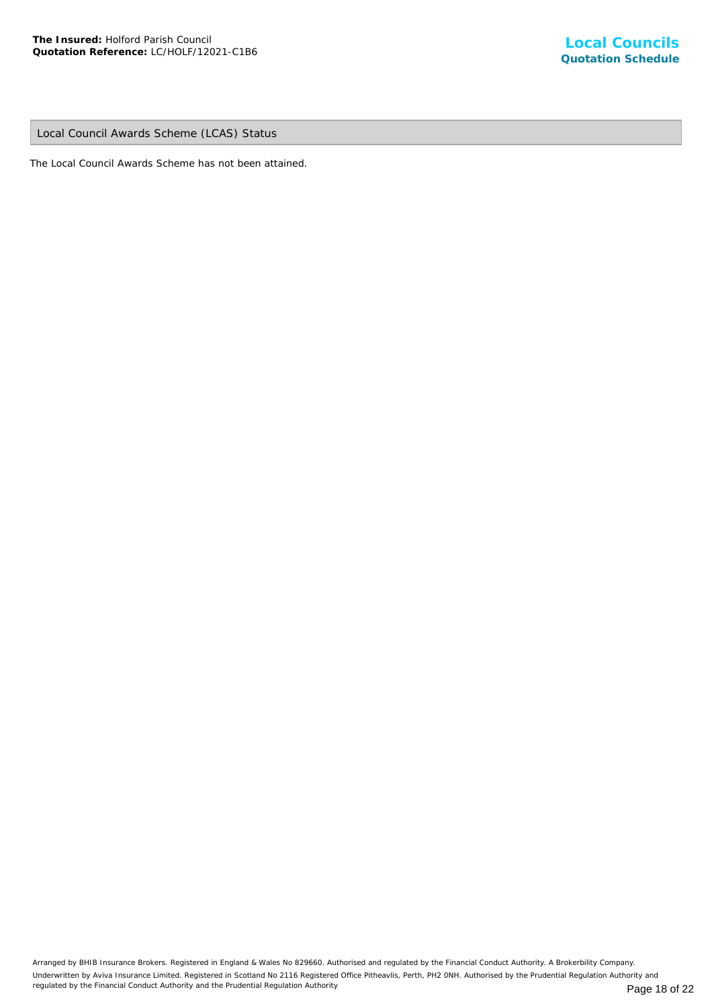Local Council Awards Scheme (LCAS) Status

The Local Council Awards Scheme has not been attained.

Arranged by BHIB Insurance Brokers. Registered in England & Wales No 829660. Authorised and regulated by the Financial Conduct Authority. A Brokerbility Company. Underwritten by Aviva Insurance Limited. Registered in Scotland No 2116 Registered Office Pitheavlis, Perth, PH2 0NH. Authorised by the Prudential Regulation Authority and regulated by the Financial Conduct Authority and the Prudential Regulation Authority **Page 18 of 22** Page 18 of 22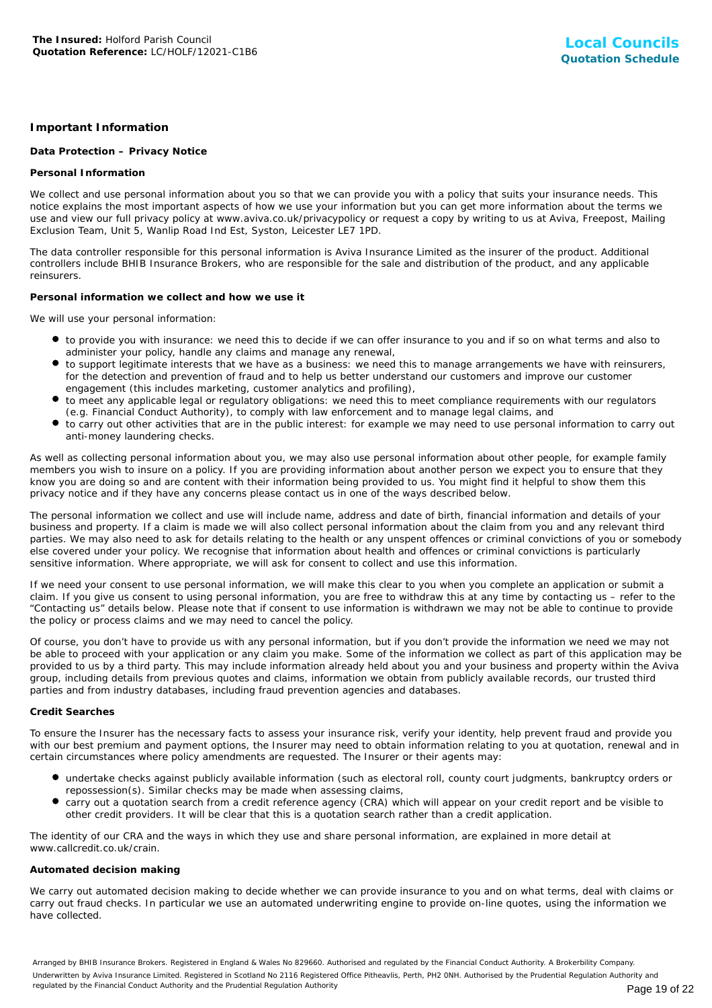### **Important Information**

#### **Data Protection – Privacy Notice**

#### **Personal Information**

We collect and use personal information about you so that we can provide you with a policy that suits your insurance needs. This notice explains the most important aspects of how we use your information but you can get more information about the terms we use and view our full privacy policy at www.aviva.co.uk/privacypolicy or request a copy by writing to us at Aviva, Freepost, Mailing Exclusion Team, Unit 5, Wanlip Road Ind Est, Syston, Leicester LE7 1PD.

The data controller responsible for this personal information is Aviva Insurance Limited as the insurer of the product. Additional controllers include BHIB Insurance Brokers, who are responsible for the sale and distribution of the product, and any applicable reinsurers.

#### **Personal information we collect and how we use it**

We will use your personal information:

- to provide you with insurance: we need this to decide if we can offer insurance to you and if so on what terms and also to administer your policy, handle any claims and manage any renewal,
- to support legitimate interests that we have as a business: we need this to manage arrangements we have with reinsurers, for the detection and prevention of fraud and to help us better understand our customers and improve our customer engagement (this includes marketing, customer analytics and profiling),
- to meet any applicable legal or regulatory obligations: we need this to meet compliance requirements with our regulators (e.g. Financial Conduct Authority), to comply with law enforcement and to manage legal claims, and
- to carry out other activities that are in the public interest: for example we may need to use personal information to carry out anti-money laundering checks.

As well as collecting personal information about you, we may also use personal information about other people, for example family members you wish to insure on a policy. If you are providing information about another person we expect you to ensure that they know you are doing so and are content with their information being provided to us. You might find it helpful to show them this privacy notice and if they have any concerns please contact us in one of the ways described below.

The personal information we collect and use will include name, address and date of birth, financial information and details of your business and property. If a claim is made we will also collect personal information about the claim from you and any relevant third parties. We may also need to ask for details relating to the health or any unspent offences or criminal convictions of you or somebody else covered under your policy. We recognise that information about health and offences or criminal convictions is particularly sensitive information. Where appropriate, we will ask for consent to collect and use this information.

If we need your consent to use personal information, we will make this clear to you when you complete an application or submit a claim. If you give us consent to using personal information, you are free to withdraw this at any time by contacting us – refer to the "Contacting us" details below. Please note that if consent to use information is withdrawn we may not be able to continue to provide the policy or process claims and we may need to cancel the policy.

Of course, you don't have to provide us with any personal information, but if you don't provide the information we need we may not be able to proceed with your application or any claim you make. Some of the information we collect as part of this application may be provided to us by a third party. This may include information already held about you and your business and property within the Aviva group, including details from previous quotes and claims, information we obtain from publicly available records, our trusted third parties and from industry databases, including fraud prevention agencies and databases.

#### **Credit Searches**

To ensure the Insurer has the necessary facts to assess your insurance risk, verify your identity, help prevent fraud and provide you with our best premium and payment options, the Insurer may need to obtain information relating to you at quotation, renewal and in certain circumstances where policy amendments are requested. The Insurer or their agents may:

- undertake checks against publicly available information (such as electoral roll, county court judgments, bankruptcy orders or repossession(s). Similar checks may be made when assessing claims,
- carry out a quotation search from a credit reference agency (CRA) which will appear on your credit report and be visible to other credit providers. It will be clear that this is a quotation search rather than a credit application.

The identity of our CRA and the ways in which they use and share personal information, are explained in more detail at www.callcredit.co.uk/crain.

#### **Automated decision making**

We carry out automated decision making to decide whether we can provide insurance to you and on what terms, deal with claims or carry out fraud checks. In particular we use an automated underwriting engine to provide on-line quotes, using the information we have collected.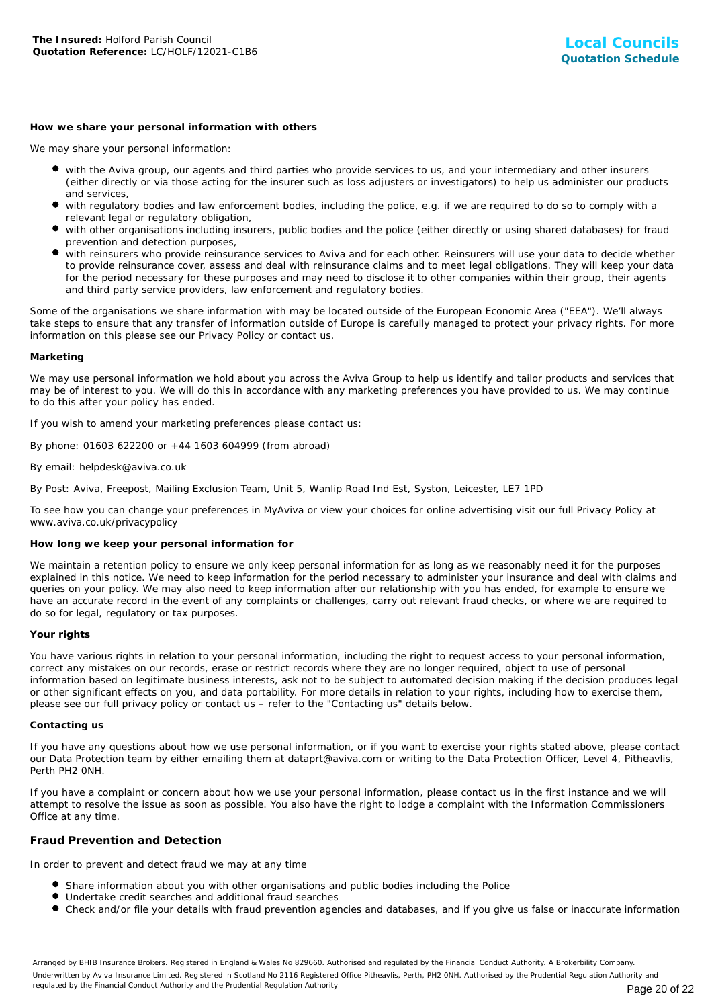#### **How we share your personal information with others**

We may share your personal information:

- with the Aviva group, our agents and third parties who provide services to us, and your intermediary and other insurers (either directly or via those acting for the insurer such as loss adjusters or investigators) to help us administer our products and services,
- with regulatory bodies and law enforcement bodies, including the police, e.g. if we are required to do so to comply with a relevant legal or regulatory obligation,
- with other organisations including insurers, public bodies and the police (either directly or using shared databases) for fraud prevention and detection purposes,
- with reinsurers who provide reinsurance services to Aviva and for each other. Reinsurers will use your data to decide whether to provide reinsurance cover, assess and deal with reinsurance claims and to meet legal obligations. They will keep your data for the period necessary for these purposes and may need to disclose it to other companies within their group, their agents and third party service providers, law enforcement and regulatory bodies.

Some of the organisations we share information with may be located outside of the European Economic Area ("EEA"). We'll always take steps to ensure that any transfer of information outside of Europe is carefully managed to protect your privacy rights. For more information on this please see our Privacy Policy or contact us.

#### **Marketing**

We may use personal information we hold about you across the Aviva Group to help us identify and tailor products and services that may be of interest to you. We will do this in accordance with any marketing preferences you have provided to us. We may continue to do this after your policy has ended.

If you wish to amend your marketing preferences please contact us:

By phone: 01603 622200 or +44 1603 604999 (from abroad)

#### By email: helpdesk@aviva.co.uk

By Post: Aviva, Freepost, Mailing Exclusion Team, Unit 5, Wanlip Road Ind Est, Syston, Leicester, LE7 1PD

To see how you can change your preferences in MyAviva or view your choices for online advertising visit our full Privacy Policy at www.aviva.co.uk/privacypolicy

#### **How long we keep your personal information for**

We maintain a retention policy to ensure we only keep personal information for as long as we reasonably need it for the purposes explained in this notice. We need to keep information for the period necessary to administer your insurance and deal with claims and queries on your policy. We may also need to keep information after our relationship with you has ended, for example to ensure we have an accurate record in the event of any complaints or challenges, carry out relevant fraud checks, or where we are required to do so for legal, regulatory or tax purposes.

#### **Your rights**

You have various rights in relation to your personal information, including the right to request access to your personal information, correct any mistakes on our records, erase or restrict records where they are no longer required, object to use of personal information based on legitimate business interests, ask not to be subject to automated decision making if the decision produces legal or other significant effects on you, and data portability. For more details in relation to your rights, including how to exercise them, please see our full privacy policy or contact us – refer to the "Contacting us" details below.

#### **Contacting us**

If you have any questions about how we use personal information, or if you want to exercise your rights stated above, please contact our Data Protection team by either emailing them at dataprt@aviva.com or writing to the Data Protection Officer, Level 4, Pitheavlis, Perth PH2 0NH.

If you have a complaint or concern about how we use your personal information, please contact us in the first instance and we will attempt to resolve the issue as soon as possible. You also have the right to lodge a complaint with the Information Commissioners Office at any time.

#### **Fraud Prevention and Detection**

In order to prevent and detect fraud we may at any time

- **Share information about you with other organisations and public bodies including the Police**
- Undertake credit searches and additional fraud searches
- Check and/or file your details with fraud prevention agencies and databases, and if you give us false or inaccurate information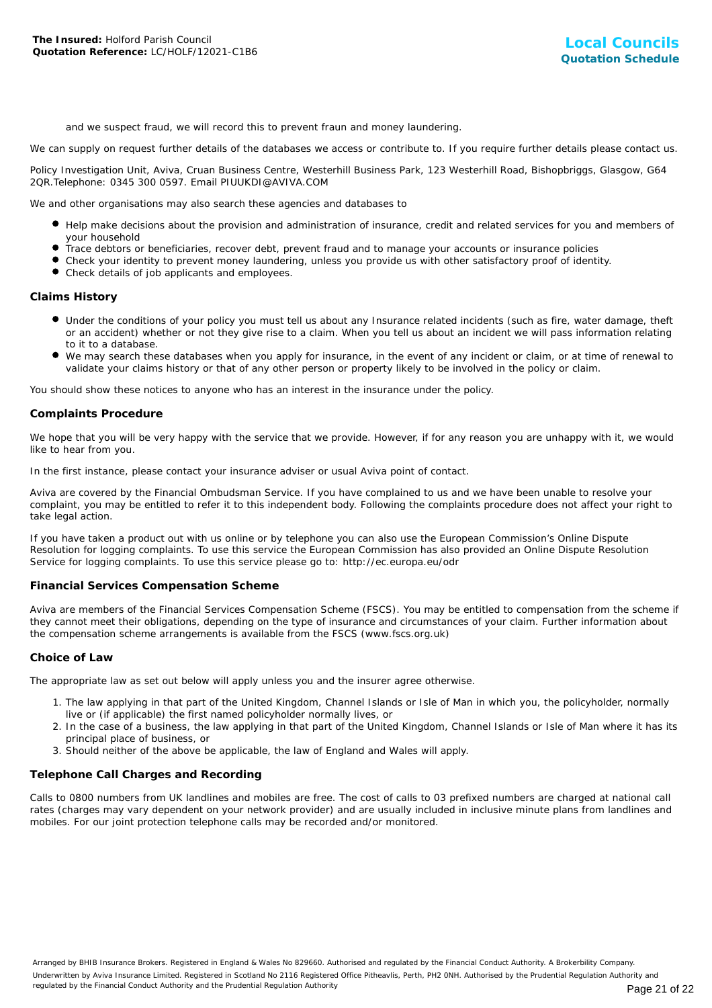and we suspect fraud, we will record this to prevent fraun and money laundering.

We can supply on request further details of the databases we access or contribute to. If you require further details please contact us.

Policy Investigation Unit, Aviva, Cruan Business Centre, Westerhill Business Park, 123 Westerhill Road, Bishopbriggs, Glasgow, G64 2QR.Telephone: 0345 300 0597. Email PIUUKDI@AVIVA.COM

We and other organisations may also search these agencies and databases to

- Help make decisions about the provision and administration of insurance, credit and related services for you and members of your household
- Trace debtors or beneficiaries, recover debt, prevent fraud and to manage your accounts or insurance policies
- Check your identity to prevent money laundering, unless you provide us with other satisfactory proof of identity.
- Check details of job applicants and employees.

#### **Claims History**

- Under the conditions of your policy you must tell us about any Insurance related incidents (such as fire, water damage, theft or an accident) whether or not they give rise to a claim. When you tell us about an incident we will pass information relating to it to a database.
- We may search these databases when you apply for insurance, in the event of any incident or claim, or at time of renewal to validate your claims history or that of any other person or property likely to be involved in the policy or claim.

You should show these notices to anyone who has an interest in the insurance under the policy.

#### **Complaints Procedure**

We hope that you will be very happy with the service that we provide. However, if for any reason you are unhappy with it, we would like to hear from you.

In the first instance, please contact your insurance adviser or usual Aviva point of contact.

Aviva are covered by the Financial Ombudsman Service. If you have complained to us and we have been unable to resolve your complaint, you may be entitled to refer it to this independent body. Following the complaints procedure does not affect your right to take legal action.

If you have taken a product out with us online or by telephone you can also use the European Commission's Online Dispute Resolution for logging complaints. To use this service the European Commission has also provided an Online Dispute Resolution Service for logging complaints. To use this service please go to: http://ec.europa.eu/odr

#### **Financial Services Compensation Scheme**

Aviva are members of the Financial Services Compensation Scheme (FSCS). You may be entitled to compensation from the scheme if they cannot meet their obligations, depending on the type of insurance and circumstances of your claim. Further information about the compensation scheme arrangements is available from the FSCS (www.fscs.org.uk)

#### **Choice of Law**

The appropriate law as set out below will apply unless you and the insurer agree otherwise.

- 1. The law applying in that part of the United Kingdom, Channel Islands or Isle of Man in which you, the policyholder, normally live or (if applicable) the first named policyholder normally lives, or
- 2. In the case of a business, the law applying in that part of the United Kingdom, Channel Islands or Isle of Man where it has its principal place of business, or
- 3. Should neither of the above be applicable, the law of England and Wales will apply.

#### **Telephone Call Charges and Recording**

Calls to 0800 numbers from UK landlines and mobiles are free. The cost of calls to 03 prefixed numbers are charged at national call rates (charges may vary dependent on your network provider) and are usually included in inclusive minute plans from landlines and mobiles. For our joint protection telephone calls may be recorded and/or monitored.